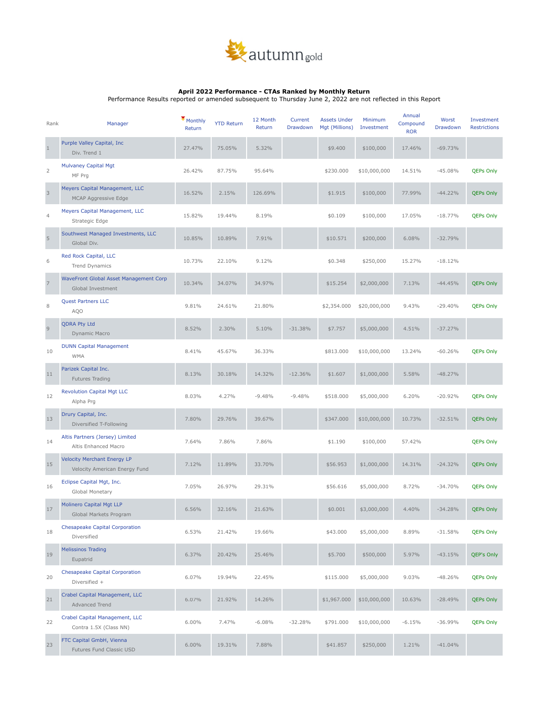

## **April 2022 Performance - CTAs Ranked by Monthly Return**

Performance Results reported or amended subsequent to Thursday June 2, 2022 are not reflected in this Report

| Rank           | Manager                                                             | Monthly<br>Return | <b>YTD Return</b> | 12 Month<br>Return | Current<br>Drawdown | <b>Assets Under</b><br>Mgt (Millions) | Minimum<br>Investment | Annual<br>Compound<br><b>ROR</b> | Worst<br>Drawdown | Investment<br>Restrictions |
|----------------|---------------------------------------------------------------------|-------------------|-------------------|--------------------|---------------------|---------------------------------------|-----------------------|----------------------------------|-------------------|----------------------------|
| $\mathbf{1}$   | Purple Valley Capital, Inc.<br>Div. Trend 1                         | 27.47%            | 75.05%            | 5.32%              |                     | \$9.400                               | \$100,000             | 17.46%                           | $-69.73%$         |                            |
| $\overline{2}$ | <b>Mulvaney Capital Mgt</b><br>MF Prg                               | 26.42%            | 87.75%            | 95.64%             |                     | \$230.000                             | \$10,000,000          | 14.51%                           | $-45.08%$         | <b>QEPs Only</b>           |
| $\mathsf 3$    | Meyers Capital Management, LLC<br>MCAP Aggressive Edge              | 16.52%            | 2.15%             | 126.69%            |                     | \$1.915                               | \$100,000             | 77.99%                           | $-44.22%$         | <b>QEPs Only</b>           |
| $\overline{4}$ | Meyers Capital Management, LLC<br>Strategic Edge                    | 15.82%            | 19.44%            | 8.19%              |                     | \$0.109                               | \$100,000             | 17.05%                           | $-18.77%$         | <b>QEPs Only</b>           |
| $\sqrt{5}$     | Southwest Managed Investments, LLC<br>Global Div.                   | 10.85%            | 10.89%            | 7.91%              |                     | \$10.571                              | \$200,000             | 6.08%                            | $-32.79%$         |                            |
| 6              | Red Rock Capital, LLC<br>Trend Dynamics                             | 10.73%            | 22.10%            | 9.12%              |                     | \$0.348                               | \$250,000             | 15.27%                           | $-18.12%$         |                            |
| $\overline{7}$ | WaveFront Global Asset Management Corp<br>Global Investment         | 10.34%            | 34.07%            | 34.97%             |                     | \$15.254                              | \$2,000,000           | 7.13%                            | $-44.45%$         | <b>QEPs Only</b>           |
| 8              | <b>Quest Partners LLC</b><br>AQO                                    | 9.81%             | 24.61%            | 21.80%             |                     | \$2,354.000                           | \$20,000,000          | 9.43%                            | $-29.40%$         | <b>QEPs Only</b>           |
| $\mathsf 9$    | <b>QDRA Pty Ltd</b><br>Dynamic Macro                                | 8.52%             | 2.30%             | 5.10%              | $-31.38%$           | \$7.757                               | \$5,000,000           | 4.51%                            | $-37.27%$         |                            |
| 10             | <b>DUNN Capital Management</b><br><b>WMA</b>                        | 8.41%             | 45.67%            | 36.33%             |                     | \$813.000                             | \$10,000,000          | 13.24%                           | $-60.26%$         | <b>QEPs Only</b>           |
| 11             | Parizek Capital Inc.<br>Futures Trading                             | 8.13%             | 30.18%            | 14.32%             | $-12.36%$           | \$1.607                               | \$1,000,000           | 5.58%                            | $-48.27%$         |                            |
| 12             | <b>Revolution Capital Mgt LLC</b><br>Alpha Prg                      | 8.03%             | 4.27%             | $-9.48%$           | $-9.48%$            | \$518.000                             | \$5,000,000           | 6.20%                            | $-20.92%$         | <b>QEPs Only</b>           |
| 13             | Drury Capital, Inc.<br>Diversified T-Following                      | 7.80%             | 29.76%            | 39.67%             |                     | \$347.000                             | \$10,000,000          | 10.73%                           | $-32.51%$         | <b>QEPs Only</b>           |
| 14             | Altis Partners (Jersey) Limited<br>Altis Enhanced Macro             | 7.64%             | 7.86%             | 7.86%              |                     | \$1.190                               | \$100,000             | 57.42%                           |                   | <b>QEPs Only</b>           |
| 15             | <b>Velocity Merchant Energy LP</b><br>Velocity American Energy Fund | 7.12%             | 11.89%            | 33.70%             |                     | \$56.953                              | \$1,000,000           | 14.31%                           | $-24.32%$         | <b>QEPs Only</b>           |
| 16             | Eclipse Capital Mgt, Inc.<br>Global Monetary                        | 7.05%             | 26.97%            | 29.31%             |                     | \$56.616                              | \$5,000,000           | 8.72%                            | $-34.70%$         | <b>QEPs Only</b>           |
| 17             | Molinero Capital Mgt LLP<br>Global Markets Program                  | 6.56%             | 32.16%            | 21.63%             |                     | \$0.001                               | \$3,000,000           | 4.40%                            | $-34.28%$         | <b>QEPs Only</b>           |
| 18             | <b>Chesapeake Capital Corporation</b><br>Diversified                | 6.53%             | 21.42%            | 19.66%             |                     | \$43.000                              | \$5,000,000           | 8.89%                            | $-31.58%$         | <b>QEPs Only</b>           |
| 19             | <b>Melissinos Trading</b><br>Eupatrid                               | 6.37%             | 20.42%            | 25.46%             |                     | \$5.700                               | \$500,000             | 5.97%                            | $-43.15%$         | QEP's Only                 |
| 20             | <b>Chesapeake Capital Corporation</b><br>Diversified +              | 6.07%             | 19.94%            | 22.45%             |                     | \$115.000                             | \$5,000,000           | 9.03%                            | $-48.26%$         | <b>QEPs Only</b>           |
| 21             | Crabel Capital Management, LLC<br>Advanced Trend                    | 6.07%             | 21.92%            | 14.26%             |                     | \$1,967.000                           | \$10,000,000          | 10.63%                           | $-28.49%$         | <b>QEPs Only</b>           |
| 22             | Crabel Capital Management, LLC<br>Contra 1.5X (Class NN)            | 6.00%             | 7.47%             | $-6.08%$           | $-32.28%$           | \$791.000                             | \$10,000,000          | $-6.15%$                         | $-36.99%$         | <b>QEPs Only</b>           |
| 23             | FTC Capital GmbH, Vienna<br>Futures Fund Classic USD                | 6.00%             | 19.31%            | 7.88%              |                     | \$41.857                              | \$250,000             | 1.21%                            | $-41.04%$         |                            |